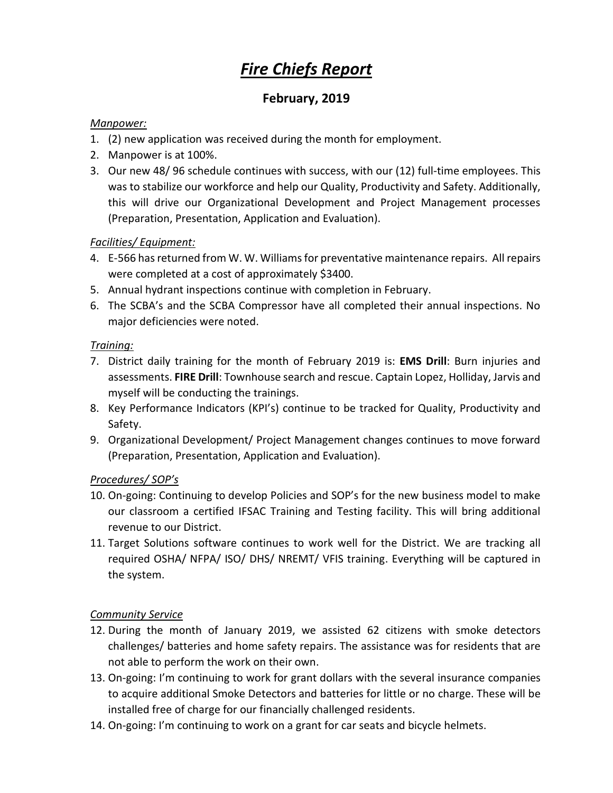# *Fire Chiefs Report*

# **February, 2019**

#### *Manpower:*

- 1. (2) new application was received during the month for employment.
- 2. Manpower is at 100%.
- 3. Our new 48/ 96 schedule continues with success, with our (12) full-time employees. This was to stabilize our workforce and help our Quality, Productivity and Safety. Additionally, this will drive our Organizational Development and Project Management processes (Preparation, Presentation, Application and Evaluation).

## *Facilities/ Equipment:*

- 4. E-566 has returned from W. W. Williams for preventative maintenance repairs. All repairs were completed at a cost of approximately \$3400.
- 5. Annual hydrant inspections continue with completion in February.
- 6. The SCBA's and the SCBA Compressor have all completed their annual inspections. No major deficiencies were noted.

#### *Training:*

- 7. District daily training for the month of February 2019 is: **EMS Drill**: Burn injuries and assessments. **FIRE Drill**: Townhouse search and rescue. Captain Lopez, Holliday, Jarvis and myself will be conducting the trainings.
- 8. Key Performance Indicators (KPI's) continue to be tracked for Quality, Productivity and Safety.
- 9. Organizational Development/ Project Management changes continues to move forward (Preparation, Presentation, Application and Evaluation).

#### *Procedures/ SOP's*

- 10. On-going: Continuing to develop Policies and SOP's for the new business model to make our classroom a certified IFSAC Training and Testing facility. This will bring additional revenue to our District.
- 11. Target Solutions software continues to work well for the District. We are tracking all required OSHA/ NFPA/ ISO/ DHS/ NREMT/ VFIS training. Everything will be captured in the system.

# *Community Service*

- 12. During the month of January 2019, we assisted 62 citizens with smoke detectors challenges/ batteries and home safety repairs. The assistance was for residents that are not able to perform the work on their own.
- 13. On-going: I'm continuing to work for grant dollars with the several insurance companies to acquire additional Smoke Detectors and batteries for little or no charge. These will be installed free of charge for our financially challenged residents.
- 14. On-going: I'm continuing to work on a grant for car seats and bicycle helmets.